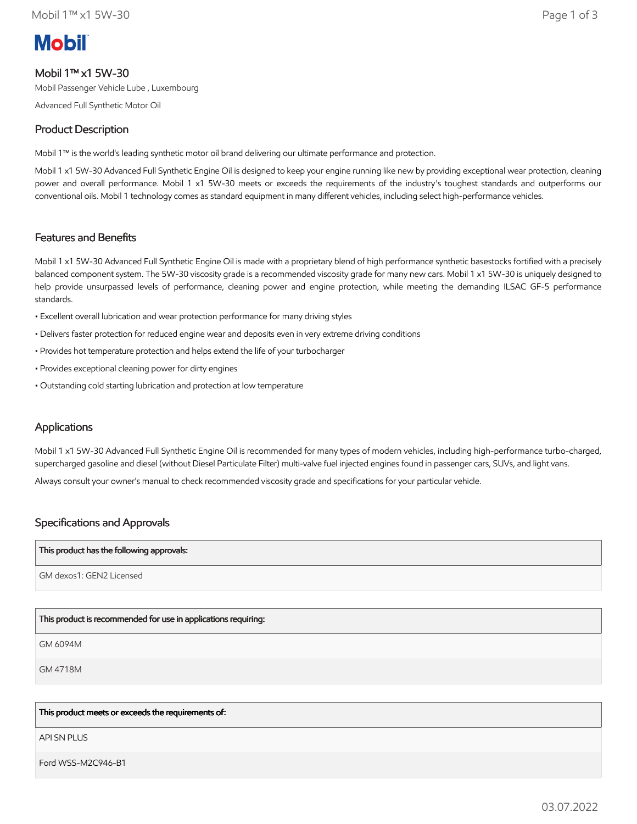# **Mobil**

# Mobil 1™ x1 5W-30

Mobil Passenger Vehicle Lube , Luxembourg

Advanced Full Synthetic Motor Oil

# Product Description

Mobil 1™ is the world's leading synthetic motor oil brand delivering our ultimate performance and protection.

Mobil 1 x1 5W-30 Advanced Full Synthetic Engine Oil is designed to keep your engine running like new by providing exceptional wear protection, cleaning power and overall performance. Mobil 1 x1 5W-30 meets or exceeds the requirements of the industry's toughest standards and outperforms our conventional oils. Mobil 1 technology comes as standard equipment in many different vehicles, including select high-performance vehicles.

# Features and Benefits

Mobil 1 x1 5W-30 Advanced Full Synthetic Engine Oil is made with a proprietary blend of high performance synthetic basestocks fortified with a precisely balanced component system. The 5W-30 viscosity grade is a recommended viscosity grade for many new cars. Mobil 1 x1 5W-30 is uniquely designed to help provide unsurpassed levels of performance, cleaning power and engine protection, while meeting the demanding ILSAC GF-5 performance standards.

- Excellent overall lubrication and wear protection performance for many driving styles
- Delivers faster protection for reduced engine wear and deposits even in very extreme driving conditions
- Provides hot temperature protection and helps extend the life of your turbocharger
- Provides exceptional cleaning power for dirty engines
- Outstanding cold starting lubrication and protection at low temperature

## **Applications**

Mobil 1 x1 5W-30 Advanced Full Synthetic Engine Oil is recommended for many types of modern vehicles, including high-performance turbo-charged, supercharged gasoline and diesel (without Diesel Particulate Filter) multi-valve fuel injected engines found in passenger cars, SUVs, and light vans.

Always consult your owner's manual to check recommended viscosity grade and specifications for your particular vehicle.

## Specifications and Approvals

#### This product has the following approvals:

GM dexos1: GEN2 Licensed

## This product is recommended for use in applications requiring:

GM 6094M

GM 4718M

### This product meets or exceeds the requirements of:

API SN PLUS

Ford WSS-M2C946-B1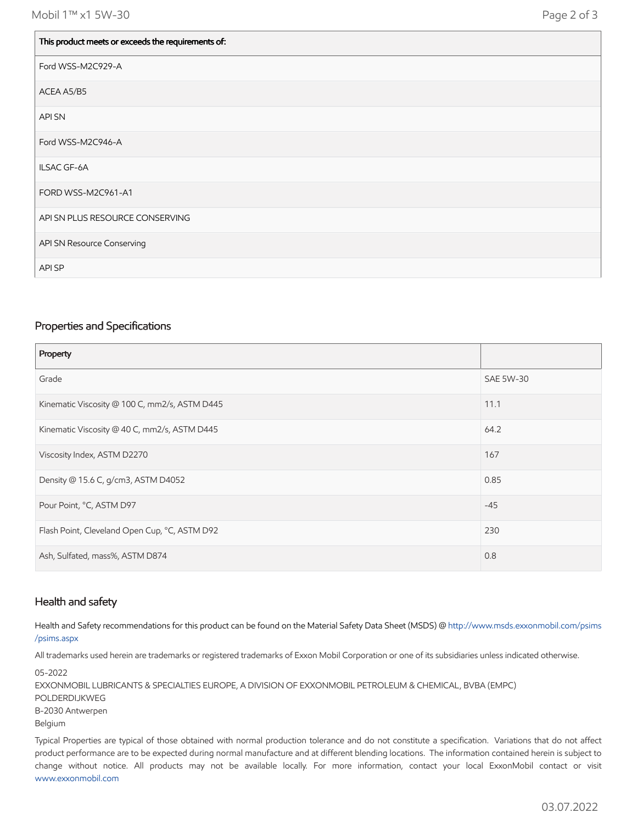| This product meets or exceeds the requirements of: |
|----------------------------------------------------|
| Ford WSS-M2C929-A                                  |
| ACEA A5/B5                                         |
| <b>APISN</b>                                       |
| Ford WSS-M2C946-A                                  |
| <b>ILSAC GF-6A</b>                                 |
| FORD WSS-M2C961-A1                                 |
| API SN PLUS RESOURCE CONSERVING                    |
| API SN Resource Conserving                         |
| API SP                                             |

#### Properties and Specifications

| Property                                      |                  |
|-----------------------------------------------|------------------|
| Grade                                         | <b>SAE 5W-30</b> |
| Kinematic Viscosity @ 100 C, mm2/s, ASTM D445 | 11.1             |
| Kinematic Viscosity @ 40 C, mm2/s, ASTM D445  | 64.2             |
| Viscosity Index, ASTM D2270                   | 167              |
| Density @ 15.6 C, g/cm3, ASTM D4052           | 0.85             |
| Pour Point, °C, ASTM D97                      | $-45$            |
| Flash Point, Cleveland Open Cup, °C, ASTM D92 | 230              |
| Ash, Sulfated, mass%, ASTM D874               | 0.8              |

#### Health and safety

Health and Safety recommendations for this product can be found on the Material Safety Data Sheet (MSDS) @ [http://www.msds.exxonmobil.com/psims](http://www.msds.exxonmobil.com/psims/psims.aspx) /psims.aspx

All trademarks used herein are trademarks or registered trademarks of Exxon Mobil Corporation or one of its subsidiaries unless indicated otherwise.

05-2022 EXXONMOBIL LUBRICANTS & SPECIALTIES EUROPE, A DIVISION OF EXXONMOBIL PETROLEUM & CHEMICAL, BVBA (EMPC) POLDERDIJKWEG B-2030 Antwerpen Belgium

Typical Properties are typical of those obtained with normal production tolerance and do not constitute a specification. Variations that do not affect product performance are to be expected during normal manufacture and at different blending locations. The information contained herein is subject to change without notice. All products may not be available locally. For more information, contact your local ExxonMobil contact or visit [www.exxonmobil.com](http://www.exxonmobil.com/)